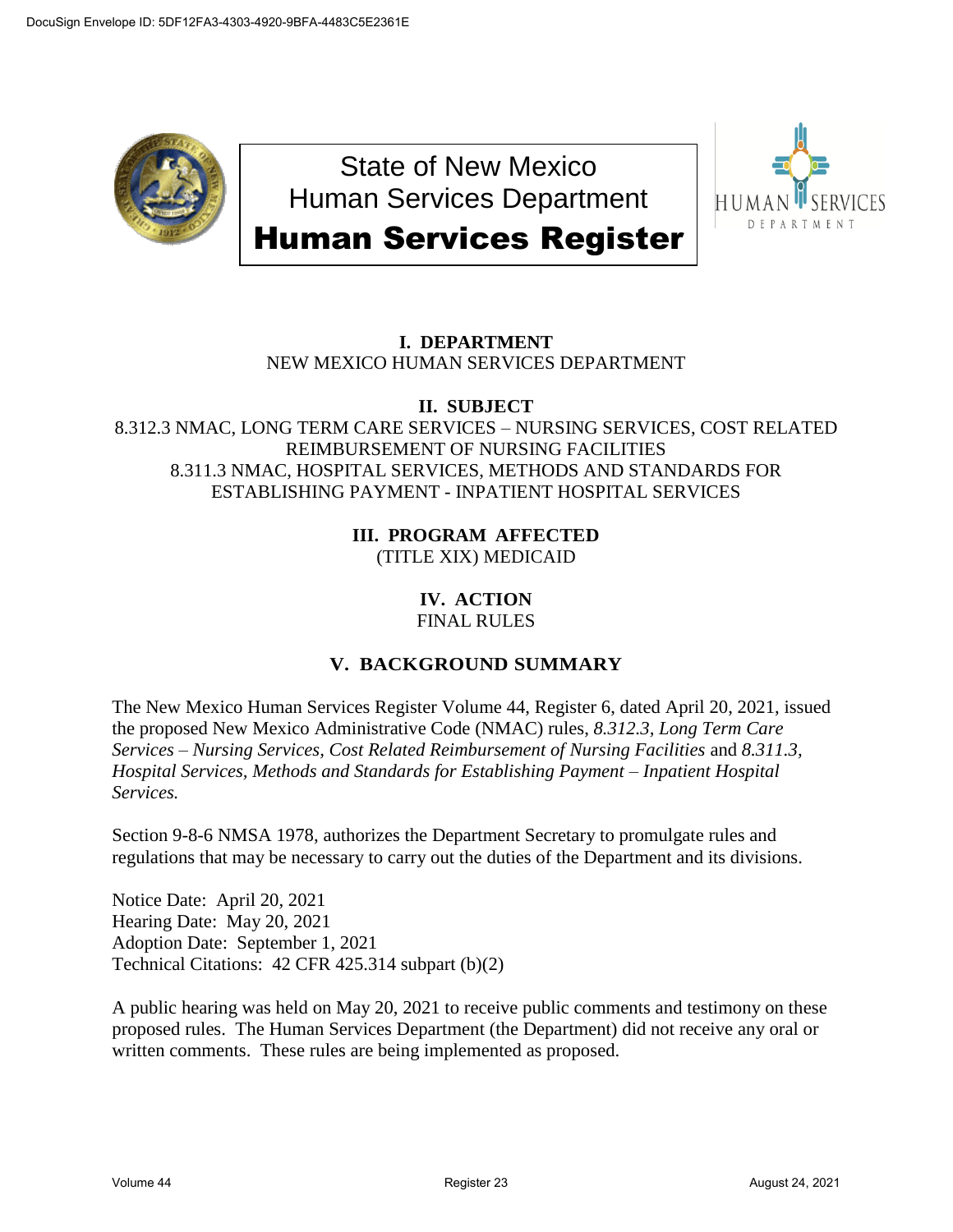

State of New Mexico Human Services Department Human Services Register



# **I. DEPARTMENT** NEW MEXICO HUMAN SERVICES DEPARTMENT

## **II. SUBJECT**

#### 8.312.3 NMAC, LONG TERM CARE SERVICES – NURSING SERVICES, COST RELATED REIMBURSEMENT OF NURSING FACILITIES 8.311.3 NMAC, HOSPITAL SERVICES, METHODS AND STANDARDS FOR ESTABLISHING PAYMENT - INPATIENT HOSPITAL SERVICES

#### **III. PROGRAM AFFECTED** (TITLE XIX) MEDICAID

# **IV. ACTION**

## FINAL RULES

## **V. BACKGROUND SUMMARY**

The New Mexico Human Services Register Volume 44, Register 6, dated April 20, 2021, issued the proposed New Mexico Administrative Code (NMAC) rules, *8.312.3, Long Term Care Services – Nursing Services, Cost Related Reimbursement of Nursing Facilities* and *8.311.3, Hospital Services, Methods and Standards for Establishing Payment – Inpatient Hospital Services.*

Section 9-8-6 NMSA 1978, authorizes the Department Secretary to promulgate rules and regulations that may be necessary to carry out the duties of the Department and its divisions.

Notice Date: April 20, 2021 Hearing Date: May 20, 2021 Adoption Date: September 1, 2021 Technical Citations: 42 CFR 425.314 subpart (b)(2)

A public hearing was held on May 20, 2021 to receive public comments and testimony on these proposed rules. The Human Services Department (the Department) did not receive any oral or written comments. These rules are being implemented as proposed.